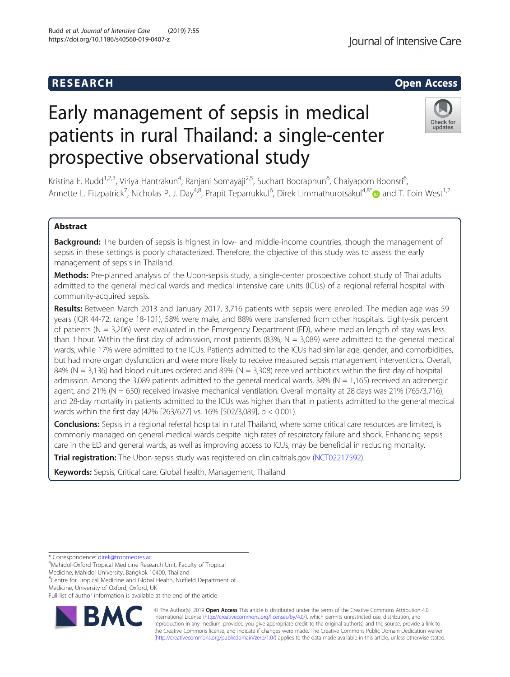# R E S EAR CH Open Access

# Early management of sepsis in medical patients in rural Thailand: a single-center prospective observational study

Kristina E. Rudd<sup>1,2,3</sup>, Viriya Hantrakun<sup>4</sup>, Ranjani Somayaji<sup>2,5</sup>, Suchart Booraphun<sup>6</sup>, Chaiyaporn Boonsri<sup>6</sup> , Annette L. Fitzpatrick<sup>7</sup>, Nicholas P. J. Day<sup>4,8</sup>, Prapit Teparrukkul<sup>6</sup>, Direk Limmathurotsakul<sup>4,8\*</sup>@ and T. Eoin West<sup>1,2</sup>

# Abstract

Background: The burden of sepsis is highest in low- and middle-income countries, though the management of sepsis in these settings is poorly characterized. Therefore, the objective of this study was to assess the early management of sepsis in Thailand.

Methods: Pre-planned analysis of the Ubon-sepsis study, a single-center prospective cohort study of Thai adults admitted to the general medical wards and medical intensive care units (ICUs) of a regional referral hospital with community-acquired sepsis.

Results: Between March 2013 and January 2017, 3,716 patients with sepsis were enrolled. The median age was 59 years (IQR 44-72, range 18-101), 58% were male, and 88% were transferred from other hospitals. Eighty-six percent of patients (N = 3,206) were evaluated in the Emergency Department (ED), where median length of stay was less than 1 hour. Within the first day of admission, most patients (83%,  $N = 3,089$ ) were admitted to the general medical wards, while 17% were admitted to the ICUs. Patients admitted to the ICUs had similar age, gender, and comorbidities, but had more organ dysfunction and were more likely to receive measured sepsis management interventions. Overall, 84% (N = 3,136) had blood cultures ordered and 89% (N = 3,308) received antibiotics within the first day of hospital admission. Among the 3,089 patients admitted to the general medical wards, 38% ( $N = 1,165$ ) received an adrenergic agent, and 21% (N = 650) received invasive mechanical ventilation. Overall mortality at 28 days was 21% (765/3,716), and 28-day mortality in patients admitted to the ICUs was higher than that in patients admitted to the general medical wards within the first day (42% [263/627] vs. 16% [502/3,089], p < 0.001).

Conclusions: Sepsis in a regional referral hospital in rural Thailand, where some critical care resources are limited, is commonly managed on general medical wards despite high rates of respiratory failure and shock. Enhancing sepsis care in the ED and general wards, as well as improving access to ICUs, may be beneficial in reducing mortality.

Trial registration: The Ubon-sepsis study was registered on clinicaltrials.gov ([NCT02217592\)](https://clinicaltrials.gov/ct2/show/NCT02217592).

Keywords: Sepsis, Critical care, Global health, Management, Thailand

\* Correspondence: [direk@tropmedres.ac](mailto:direk@tropmedres.ac) <sup>4</sup>

Mahidol-Oxford Tropical Medicine Research Unit, Faculty of Tropical Medicine, Mahidol University, Bangkok 10400, Thailand

<sup>8</sup>Centre for Tropical Medicine and Global Health, Nuffield Department of Medicine, University of Oxford, Oxford, UK

Full list of author information is available at the end of the article





© The Author(s). 2019 **Open Access** This article is distributed under the terms of the Creative Commons Attribution 4.0 International License [\(http://creativecommons.org/licenses/by/4.0/](http://creativecommons.org/licenses/by/4.0/)), which permits unrestricted use, distribution, and reproduction in any medium, provided you give appropriate credit to the original author(s) and the source, provide a link to the Creative Commons license, and indicate if changes were made. The Creative Commons Public Domain Dedication waiver [\(http://creativecommons.org/publicdomain/zero/1.0/](http://creativecommons.org/publicdomain/zero/1.0/)) applies to the data made available in this article, unless otherwise stated.

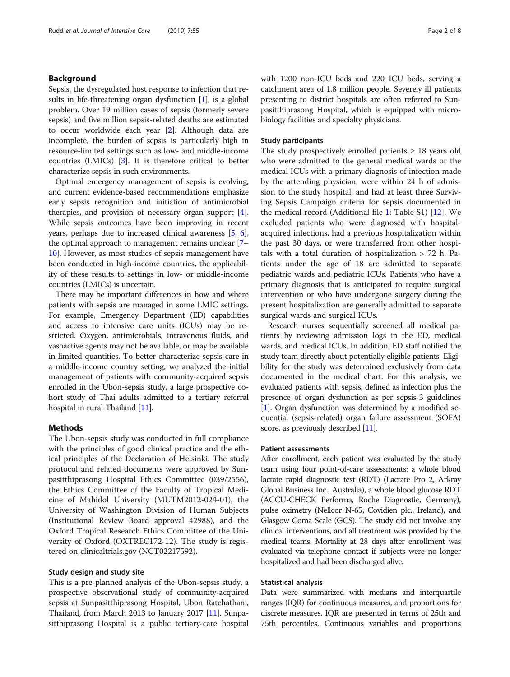# Background

Sepsis, the dysregulated host response to infection that results in life-threatening organ dysfunction [\[1\]](#page-6-0), is a global problem. Over 19 million cases of sepsis (formerly severe sepsis) and five million sepsis-related deaths are estimated to occur worldwide each year [\[2\]](#page-6-0). Although data are incomplete, the burden of sepsis is particularly high in resource-limited settings such as low- and middle-income countries (LMICs) [\[3](#page-6-0)]. It is therefore critical to better characterize sepsis in such environments.

Optimal emergency management of sepsis is evolving, and current evidence-based recommendations emphasize early sepsis recognition and initiation of antimicrobial therapies, and provision of necessary organ support [[4](#page-6-0)]. While sepsis outcomes have been improving in recent years, perhaps due to increased clinical awareness [[5,](#page-6-0) [6](#page-6-0)], the optimal approach to management remains unclear [[7](#page-6-0)– [10](#page-6-0)]. However, as most studies of sepsis management have been conducted in high-income countries, the applicability of these results to settings in low- or middle-income countries (LMICs) is uncertain.

There may be important differences in how and where patients with sepsis are managed in some LMIC settings. For example, Emergency Department (ED) capabilities and access to intensive care units (ICUs) may be restricted. Oxygen, antimicrobials, intravenous fluids, and vasoactive agents may not be available, or may be available in limited quantities. To better characterize sepsis care in a middle-income country setting, we analyzed the initial management of patients with community-acquired sepsis enrolled in the Ubon-sepsis study, a large prospective cohort study of Thai adults admitted to a tertiary referral hospital in rural Thailand [\[11](#page-6-0)].

#### Methods

The Ubon-sepsis study was conducted in full compliance with the principles of good clinical practice and the ethical principles of the Declaration of Helsinki. The study protocol and related documents were approved by Sunpasitthiprasong Hospital Ethics Committee (039/2556), the Ethics Committee of the Faculty of Tropical Medicine of Mahidol University (MUTM2012-024-01), the University of Washington Division of Human Subjects (Institutional Review Board approval 42988), and the Oxford Tropical Research Ethics Committee of the University of Oxford (OXTREC172-12). The study is registered on clinicaltrials.gov (NCT02217592).

#### Study design and study site

This is a pre-planned analysis of the Ubon-sepsis study, a prospective observational study of community-acquired sepsis at Sunpasitthiprasong Hospital, Ubon Ratchathani, Thailand, from March 2013 to January 2017 [[11\]](#page-6-0). Sunpasitthiprasong Hospital is a public tertiary-care hospital with 1200 non-ICU beds and 220 ICU beds, serving a catchment area of 1.8 million people. Severely ill patients presenting to district hospitals are often referred to Sunpasitthiprasong Hospital, which is equipped with microbiology facilities and specialty physicians.

#### Study participants

The study prospectively enrolled patients  $\geq 18$  years old who were admitted to the general medical wards or the medical ICUs with a primary diagnosis of infection made by the attending physician, were within 24 h of admission to the study hospital, and had at least three Surviving Sepsis Campaign criteria for sepsis documented in the medical record (Additional file [1](#page-6-0): Table S1) [[12\]](#page-7-0). We excluded patients who were diagnosed with hospitalacquired infections, had a previous hospitalization within the past 30 days, or were transferred from other hospitals with a total duration of hospitalization > 72 h. Patients under the age of 18 are admitted to separate pediatric wards and pediatric ICUs. Patients who have a primary diagnosis that is anticipated to require surgical intervention or who have undergone surgery during the present hospitalization are generally admitted to separate surgical wards and surgical ICUs.

Research nurses sequentially screened all medical patients by reviewing admission logs in the ED, medical wards, and medical ICUs. In addition, ED staff notified the study team directly about potentially eligible patients. Eligibility for the study was determined exclusively from data documented in the medical chart. For this analysis, we evaluated patients with sepsis, defined as infection plus the presence of organ dysfunction as per sepsis-3 guidelines [[1\]](#page-6-0). Organ dysfunction was determined by a modified sequential (sepsis-related) organ failure assessment (SOFA) score, as previously described [[11](#page-6-0)].

#### Patient assessments

After enrollment, each patient was evaluated by the study team using four point-of-care assessments: a whole blood lactate rapid diagnostic test (RDT) (Lactate Pro 2, Arkray Global Business Inc., Australia), a whole blood glucose RDT (ACCU-CHECK Performa, Roche Diagnostic, Germany), pulse oximetry (Nellcor N-65, Covidien plc., Ireland), and Glasgow Coma Scale (GCS). The study did not involve any clinical interventions, and all treatment was provided by the medical teams. Mortality at 28 days after enrollment was evaluated via telephone contact if subjects were no longer hospitalized and had been discharged alive.

#### Statistical analysis

Data were summarized with medians and interquartile ranges (IQR) for continuous measures, and proportions for discrete measures. IQR are presented in terms of 25th and 75th percentiles. Continuous variables and proportions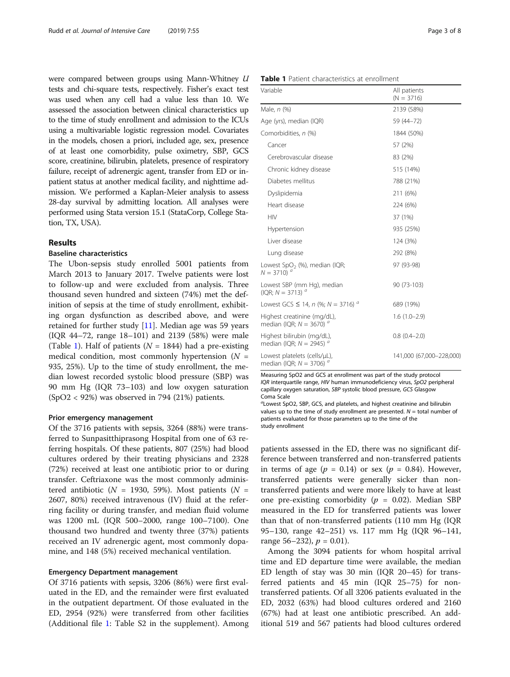were compared between groups using Mann-Whitney U tests and chi-square tests, respectively. Fisher's exact test was used when any cell had a value less than 10. We assessed the association between clinical characteristics up to the time of study enrollment and admission to the ICUs using a multivariable logistic regression model. Covariates in the models, chosen a priori, included age, sex, presence of at least one comorbidity, pulse oximetry, SBP, GCS score, creatinine, bilirubin, platelets, presence of respiratory failure, receipt of adrenergic agent, transfer from ED or inpatient status at another medical facility, and nighttime admission. We performed a Kaplan-Meier analysis to assess 28-day survival by admitting location. All analyses were performed using Stata version 15.1 (StataCorp, College Station, TX, USA).

# Results

#### Baseline characteristics

The Ubon-sepsis study enrolled 5001 patients from March 2013 to January 2017. Twelve patients were lost to follow-up and were excluded from analysis. Three thousand seven hundred and sixteen (74%) met the definition of sepsis at the time of study enrollment, exhibiting organ dysfunction as described above, and were retained for further study [\[11](#page-6-0)]. Median age was 59 years (IQR 44–72, range 18–101) and 2139 (58%) were male (Table 1). Half of patients ( $N = 1844$ ) had a pre-existing medical condition, most commonly hypertension  $(N =$ 935, 25%). Up to the time of study enrollment, the median lowest recorded systolic blood pressure (SBP) was 90 mm Hg (IQR 73–103) and low oxygen saturation (SpO2 < 92%) was observed in 794 (21%) patients.

#### Prior emergency management

Of the 3716 patients with sepsis, 3264 (88%) were transferred to Sunpasitthiprasong Hospital from one of 63 referring hospitals. Of these patients, 807 (25%) had blood cultures ordered by their treating physicians and 2328 (72%) received at least one antibiotic prior to or during transfer. Ceftriaxone was the most commonly administered antibiotic ( $N = 1930, 59\%$ ). Most patients ( $N =$ 2607, 80%) received intravenous (IV) fluid at the referring facility or during transfer, and median fluid volume was 1200 mL (IQR 500–2000, range 100–7100). One thousand two hundred and twenty three (37%) patients received an IV adrenergic agent, most commonly dopamine, and 148 (5%) received mechanical ventilation.

#### Emergency Department management

Of 3716 patients with sepsis, 3206 (86%) were first evaluated in the ED, and the remainder were first evaluated in the outpatient department. Of those evaluated in the ED, 2954 (92%) were transferred from other facilities (Additional file [1](#page-6-0): Table S2 in the supplement). Among

| Table 1 Patient characteristics at enrollment |  |
|-----------------------------------------------|--|
|-----------------------------------------------|--|

| Variable                                                                               | All patients<br>$(N = 3716)$ |  |  |
|----------------------------------------------------------------------------------------|------------------------------|--|--|
| Male, n (%)                                                                            | 2139 (58%)                   |  |  |
| Age (yrs), median (IQR)                                                                | 59 (44 - 72)                 |  |  |
| Comorbidities, n (%)                                                                   | 1844 (50%)                   |  |  |
| Cancer                                                                                 | 57 (2%)                      |  |  |
| Cerebrovascular disease                                                                | 83 (2%)                      |  |  |
| Chronic kidney disease                                                                 | 515 (14%)                    |  |  |
| Diabetes mellitus                                                                      | 788 (21%)                    |  |  |
| Dyslipidemia                                                                           | 211 (6%)                     |  |  |
| Heart disease                                                                          | 224 (6%)                     |  |  |
| <b>HIV</b>                                                                             | 37 (1%)                      |  |  |
| Hypertension                                                                           | 935 (25%)                    |  |  |
| Liver disease                                                                          | 124 (3%)                     |  |  |
| Lung disease                                                                           | 292 (8%)                     |  |  |
| Lowest SpO <sub>2</sub> (%), median (IQR;<br>$N = 3710$ ) $^{a}$                       | 97 (93-98)                   |  |  |
| Lowest SBP (mm Hg), median<br>(IQR; $N = 3713$ ) <sup>a</sup>                          | 90 (73-103)                  |  |  |
| Lowest GCS $\leq$ 14, n (%; N = 3716) <sup>a</sup>                                     | 689 (19%)                    |  |  |
| Highest creatinine (mg/dL),<br>median (IQR; $N = 3670$ ) <sup>a</sup>                  | $1.6(1.0-2.9)$               |  |  |
| Highest bilirubin (mg/dL),<br>$0.8(0.4-2.0)$<br>median (IQR; $N = 2945$ ) <sup>a</sup> |                              |  |  |
| Lowest platelets (cells/µL),<br>median (IQR; $N = 3706$ )                              | 141,000 (67,000-228,000)     |  |  |

Measuring SpO2 and GCS at enrollment was part of the study protocol IQR interquartile range, HIV human immunodeficiency virus, SpO2 peripheral capillary oxygen saturation, SBP systolic blood pressure, GCS Glasgow Coma Scale

<sup>a</sup>Lowest SpO2, SBP, GCS, and platelets, and highest creatinine and bilirubin values up to the time of study enrollment are presented.  $N =$  total number of patients evaluated for those parameters up to the time of the study enrollment

patients assessed in the ED, there was no significant difference between transferred and non-transferred patients in terms of age  $(p = 0.14)$  or sex  $(p = 0.84)$ . However, transferred patients were generally sicker than nontransferred patients and were more likely to have at least one pre-existing comorbidity ( $p = 0.02$ ). Median SBP measured in the ED for transferred patients was lower than that of non-transferred patients (110 mm Hg (IQR 95–130, range 42–251) vs. 117 mm Hg (IQR 96–141, range 56–232),  $p = 0.01$ ).

Among the 3094 patients for whom hospital arrival time and ED departure time were available, the median ED length of stay was 30 min (IQR 20–45) for transferred patients and 45 min (IQR 25–75) for nontransferred patients. Of all 3206 patients evaluated in the ED, 2032 (63%) had blood cultures ordered and 2160 (67%) had at least one antibiotic prescribed. An additional 519 and 567 patients had blood cultures ordered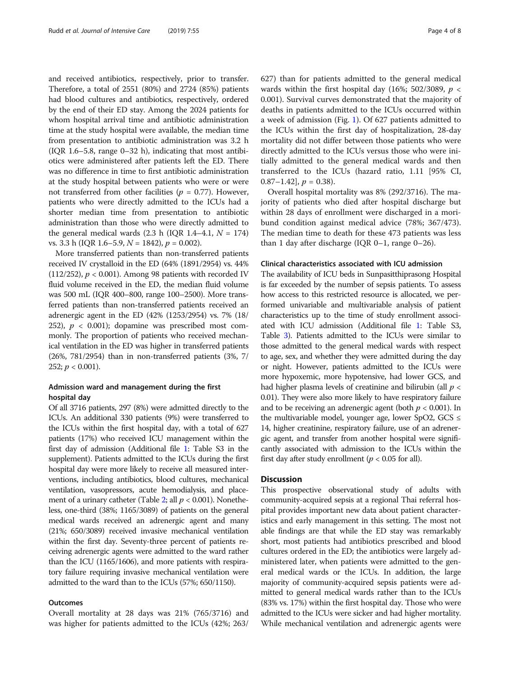and received antibiotics, respectively, prior to transfer. Therefore, a total of 2551 (80%) and 2724 (85%) patients had blood cultures and antibiotics, respectively, ordered by the end of their ED stay. Among the 2024 patients for whom hospital arrival time and antibiotic administration time at the study hospital were available, the median time from presentation to antibiotic administration was 3.2 h (IQR 1.6–5.8, range 0–32 h), indicating that most antibiotics were administered after patients left the ED. There was no difference in time to first antibiotic administration at the study hospital between patients who were or were not transferred from other facilities ( $p = 0.77$ ). However, patients who were directly admitted to the ICUs had a shorter median time from presentation to antibiotic administration than those who were directly admitted to the general medical wards (2.3 h (IQR 1.4-4.1,  $N = 174$ ) vs. 3.3 h (IQR 1.6–5.9,  $N = 1842$ ),  $p = 0.002$ ).

More transferred patients than non-transferred patients received IV crystalloid in the ED (64% (1891/2954) vs. 44% (112/252),  $p < 0.001$ ). Among 98 patients with recorded IV fluid volume received in the ED, the median fluid volume was 500 mL (IQR 400–800, range 100–2500). More transferred patients than non-transferred patients received an adrenergic agent in the ED (42% (1253/2954) vs. 7% (18/ 252),  $p < 0.001$ ); dopamine was prescribed most commonly. The proportion of patients who received mechanical ventilation in the ED was higher in transferred patients (26%, 781/2954) than in non-transferred patients (3%, 7/ 252;  $p < 0.001$ ).

# Admission ward and management during the first hospital day

Of all 3716 patients, 297 (8%) were admitted directly to the ICUs. An additional 330 patients (9%) were transferred to the ICUs within the first hospital day, with a total of 627 patients (17%) who received ICU management within the first day of admission (Additional file [1](#page-6-0): Table S3 in the supplement). Patients admitted to the ICUs during the first hospital day were more likely to receive all measured interventions, including antibiotics, blood cultures, mechanical ventilation, vasopressors, acute hemodialysis, and place-ment of a urinary catheter (Table [2;](#page-4-0) all  $p < 0.001$ ). Nonetheless, one-third (38%; 1165/3089) of patients on the general medical wards received an adrenergic agent and many (21%; 650/3089) received invasive mechanical ventilation within the first day. Seventy-three percent of patients receiving adrenergic agents were admitted to the ward rather than the ICU (1165/1606), and more patients with respiratory failure requiring invasive mechanical ventilation were admitted to the ward than to the ICUs (57%; 650/1150).

#### Outcomes

Overall mortality at 28 days was 21% (765/3716) and was higher for patients admitted to the ICUs (42%; 263/

627) than for patients admitted to the general medical wards within the first hospital day (16%; 502/3089,  $p <$ 0.001). Survival curves demonstrated that the majority of deaths in patients admitted to the ICUs occurred within a week of admission (Fig. [1](#page-4-0)). Of 627 patients admitted to the ICUs within the first day of hospitalization, 28-day mortality did not differ between those patients who were directly admitted to the ICUs versus those who were initially admitted to the general medical wards and then transferred to the ICUs (hazard ratio, 1.11 [95% CI, 0.87–1.42],  $p = 0.38$ ).

Overall hospital mortality was 8% (292/3716). The majority of patients who died after hospital discharge but within 28 days of enrollment were discharged in a moribund condition against medical advice (78%; 367/473). The median time to death for these 473 patients was less than 1 day after discharge (IQR 0–1, range 0–26).

#### Clinical characteristics associated with ICU admission

The availability of ICU beds in Sunpasitthiprasong Hospital is far exceeded by the number of sepsis patients. To assess how access to this restricted resource is allocated, we performed univariable and multivariable analysis of patient characteristics up to the time of study enrollment associated with ICU admission (Additional file [1:](#page-6-0) Table S3, Table [3](#page-5-0)). Patients admitted to the ICUs were similar to those admitted to the general medical wards with respect to age, sex, and whether they were admitted during the day or night. However, patients admitted to the ICUs were more hypoxemic, more hypotensive, had lower GCS, and had higher plasma levels of creatinine and bilirubin (all  $p <$ 0.01). They were also more likely to have respiratory failure and to be receiving an adrenergic agent (both  $p < 0.001$ ). In the multivariable model, younger age, lower SpO2, GCS  $\leq$ 14, higher creatinine, respiratory failure, use of an adrenergic agent, and transfer from another hospital were significantly associated with admission to the ICUs within the first day after study enrollment ( $p < 0.05$  for all).

# **Discussion**

This prospective observational study of adults with community-acquired sepsis at a regional Thai referral hospital provides important new data about patient characteristics and early management in this setting. The most not able findings are that while the ED stay was remarkably short, most patients had antibiotics prescribed and blood cultures ordered in the ED; the antibiotics were largely administered later, when patients were admitted to the general medical wards or the ICUs. In addition, the large majority of community-acquired sepsis patients were admitted to general medical wards rather than to the ICUs (83% vs. 17%) within the first hospital day. Those who were admitted to the ICUs were sicker and had higher mortality. While mechanical ventilation and adrenergic agents were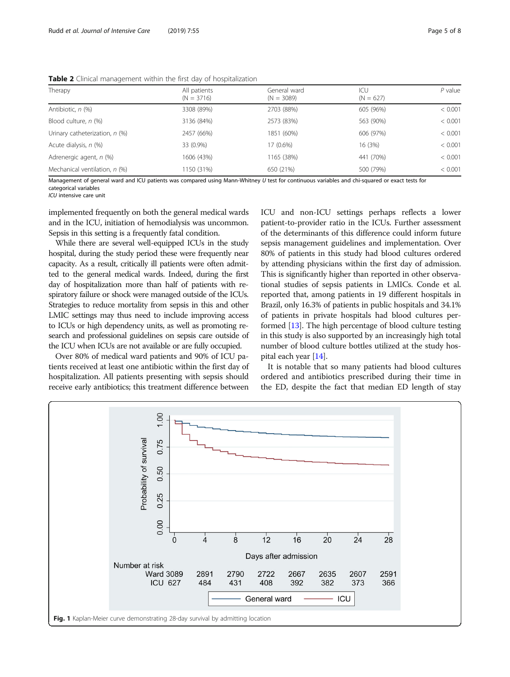| Therapy                        | All patients | General ward | ICU         | $P$ value |
|--------------------------------|--------------|--------------|-------------|-----------|
|                                | $(N = 3716)$ | $(N = 3089)$ | $(N = 627)$ |           |
| Antibiotic, n (%)              | 3308 (89%)   | 2703 (88%)   | 605 (96%)   | < 0.001   |
| Blood culture, n (%)           | 3136 (84%)   | 2573 (83%)   | 563 (90%)   | < 0.001   |
| Urinary catheterization, n (%) | 2457 (66%)   | 1851 (60%)   | 606 (97%)   | < 0.001   |
| Acute dialysis, n (%)          | 33 (0.9%)    | 17 (0.6%)    | 16 (3%)     | < 0.001   |
| Adrenergic agent, n (%)        | 1606 (43%)   | 1165 (38%)   | 441 (70%)   | < 0.001   |
| Mechanical ventilation, n (%)  | 1150 (31%)   | 650 (21%)    | 500 (79%)   | < 0.001   |

<span id="page-4-0"></span>Table 2 Clinical management within the first day of hospitalization

Management of general ward and ICU patients was compared using Mann-Whitney U test for continuous variables and chi-squared or exact tests for categorical variables

ICU intensive care unit

implemented frequently on both the general medical wards and in the ICU, initiation of hemodialysis was uncommon. Sepsis in this setting is a frequently fatal condition.

While there are several well-equipped ICUs in the study hospital, during the study period these were frequently near capacity. As a result, critically ill patients were often admitted to the general medical wards. Indeed, during the first day of hospitalization more than half of patients with respiratory failure or shock were managed outside of the ICUs. Strategies to reduce mortality from sepsis in this and other LMIC settings may thus need to include improving access to ICUs or high dependency units, as well as promoting research and professional guidelines on sepsis care outside of the ICU when ICUs are not available or are fully occupied.

Over 80% of medical ward patients and 90% of ICU patients received at least one antibiotic within the first day of hospitalization. All patients presenting with sepsis should receive early antibiotics; this treatment difference between ICU and non-ICU settings perhaps reflects a lower patient-to-provider ratio in the ICUs. Further assessment of the determinants of this difference could inform future sepsis management guidelines and implementation. Over 80% of patients in this study had blood cultures ordered by attending physicians within the first day of admission. This is significantly higher than reported in other observational studies of sepsis patients in LMICs. Conde et al. reported that, among patients in 19 different hospitals in Brazil, only 16.3% of patients in public hospitals and 34.1% of patients in private hospitals had blood cultures performed [[13](#page-7-0)]. The high percentage of blood culture testing in this study is also supported by an increasingly high total number of blood culture bottles utilized at the study hospital each year [[14](#page-7-0)].

It is notable that so many patients had blood cultures ordered and antibiotics prescribed during their time in the ED, despite the fact that median ED length of stay

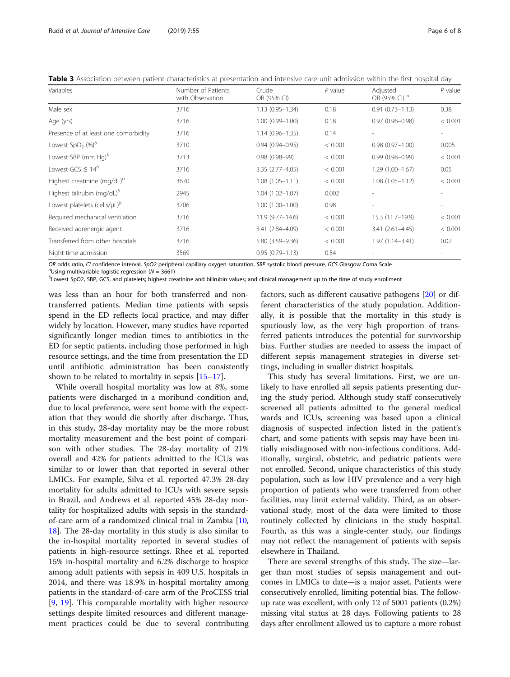<span id="page-5-0"></span>Table 3 Association between patient characteristics at presentation and intensive care unit admission within the first hospital day

| Variables                                       | Number of Patients<br>with Observation | Crude<br>OR (95% CI) | $P$ value | Adjusted<br>OR (95% CI) <sup>a</sup> | $P$ value                |
|-------------------------------------------------|----------------------------------------|----------------------|-----------|--------------------------------------|--------------------------|
| Male sex                                        | 3716                                   | $1.13(0.95 - 1.34)$  | 0.18      | $0.91(0.73 - 1.13)$                  | 0.38                     |
| Age (yrs)                                       | 3716                                   | $1.00(0.99 - 1.00)$  | 0.18      | $0.97(0.96 - 0.98)$                  | < 0.001                  |
| Presence of at least one comorbidity            | 3716                                   | $1.14(0.96 - 1.35)$  | 0.14      |                                      |                          |
| Lowest SpO <sub>2</sub> $(%)^b$                 | 3710                                   | $0.94(0.94 - 0.95)$  | < 0.001   | $0.98(0.97 - 1.00)$                  | 0.005                    |
| Lowest SBP (mm Hg) $^b$                         | 3713                                   | $0.98(0.98 - 99)$    | < 0.001   | $0.99(0.98 - 0.99)$                  | < 0.001                  |
| Lowest GCS $\leq 14^b$                          | 3716                                   | 3.35 (2.77-4.05)     | < 0.001   | $1.29(1.00-1.67)$                    | 0.05                     |
| Highest creatinine (mg/dL) <sup>b</sup>         | 3670                                   | $1.08(1.05 - 1.11)$  | < 0.001   | $1.08(1.05 - 1.12)$                  | < 0.001                  |
| Highest bilirubin (mg/dL) <sup>b</sup>          | 2945                                   | $1.04(1.02 - 1.07)$  | 0.002     |                                      |                          |
| Lowest platelets (cells/ $\mu L$ ) <sup>b</sup> | 3706                                   | $1.00(1.00 - 1.00)$  | 0.98      |                                      | $\overline{\phantom{0}}$ |
| Required mechanical ventilation                 | 3716                                   | $11.9(9.77 - 14.6)$  | < 0.001   | 15.3 (11.7-19.9)                     | < 0.001                  |
| Received adrenergic agent                       | 3716                                   | 3.41 (2.84-4.09)     | < 0.001   | $3.41(2.61 - 4.45)$                  | < 0.001                  |
| Transferred from other hospitals                | 3716                                   | 5.80 (3.59-9.36)     | < 0.001   | $1.97(1.14 - 3.41)$                  | 0.02                     |
| Night time admission                            | 3569                                   | $0.95(0.79 - 1.13)$  | 0.54      |                                      |                          |

OR odds ratio, CI confidence interval, SpO2 peripheral capillary oxygen saturation, SBP systolic blood pressure, GCS Glasgow Coma Scale

<sup>a</sup>Using multivariable logistic regression ( $N = 3661$ )

 $b$ Lowest SpO2, SBP, GCS, and platelets; highest creatinine and bilirubin values; and clinical management up to the time of study enrollment

was less than an hour for both transferred and nontransferred patients. Median time patients with sepsis spend in the ED reflects local practice, and may differ widely by location. However, many studies have reported significantly longer median times to antibiotics in the ED for septic patients, including those performed in high resource settings, and the time from presentation the ED until antibiotic administration has been consistently shown to be related to mortality in sepsis [\[15](#page-7-0)–[17](#page-7-0)].

While overall hospital mortality was low at 8%, some patients were discharged in a moribund condition and, due to local preference, were sent home with the expectation that they would die shortly after discharge. Thus, in this study, 28-day mortality may be the more robust mortality measurement and the best point of comparison with other studies. The 28-day mortality of 21% overall and 42% for patients admitted to the ICUs was similar to or lower than that reported in several other LMICs. For example, Silva et al. reported 47.3% 28-day mortality for adults admitted to ICUs with severe sepsis in Brazil, and Andrews et al. reported 45% 28-day mortality for hospitalized adults with sepsis in the standardof-care arm of a randomized clinical trial in Zambia [[10](#page-6-0), [18\]](#page-7-0). The 28-day mortality in this study is also similar to the in-hospital mortality reported in several studies of patients in high-resource settings. Rhee et al. reported 15% in-hospital mortality and 6.2% discharge to hospice among adult patients with sepsis in 409 U.S. hospitals in 2014, and there was 18.9% in-hospital mortality among patients in the standard-of-care arm of the ProCESS trial [[9,](#page-6-0) [19\]](#page-7-0). This comparable mortality with higher resource settings despite limited resources and different management practices could be due to several contributing factors, such as different causative pathogens [\[20](#page-7-0)] or different characteristics of the study population. Additionally, it is possible that the mortality in this study is spuriously low, as the very high proportion of transferred patients introduces the potential for survivorship bias. Further studies are needed to assess the impact of different sepsis management strategies in diverse settings, including in smaller district hospitals.

This study has several limitations. First, we are unlikely to have enrolled all sepsis patients presenting during the study period. Although study staff consecutively screened all patients admitted to the general medical wards and ICUs, screening was based upon a clinical diagnosis of suspected infection listed in the patient's chart, and some patients with sepsis may have been initially misdiagnosed with non-infectious conditions. Additionally, surgical, obstetric, and pediatric patients were not enrolled. Second, unique characteristics of this study population, such as low HIV prevalence and a very high proportion of patients who were transferred from other facilities, may limit external validity. Third, as an observational study, most of the data were limited to those routinely collected by clinicians in the study hospital. Fourth, as this was a single-center study, our findings may not reflect the management of patients with sepsis elsewhere in Thailand.

There are several strengths of this study. The size—larger than most studies of sepsis management and outcomes in LMICs to date—is a major asset. Patients were consecutively enrolled, limiting potential bias. The followup rate was excellent, with only 12 of 5001 patients (0.2%) missing vital status at 28 days. Following patients to 28 days after enrollment allowed us to capture a more robust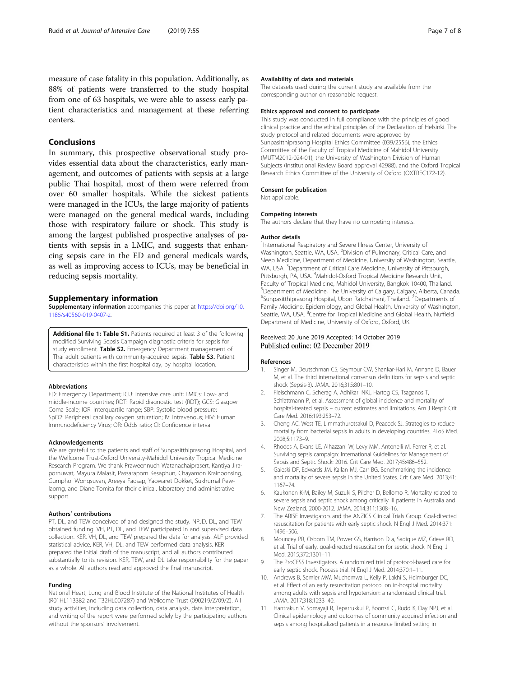<span id="page-6-0"></span>measure of case fatality in this population. Additionally, as 88% of patients were transferred to the study hospital from one of 63 hospitals, we were able to assess early patient characteristics and management at these referring centers.

## Conclusions

In summary, this prospective observational study provides essential data about the characteristics, early management, and outcomes of patients with sepsis at a large public Thai hospital, most of them were referred from over 60 smaller hospitals. While the sickest patients were managed in the ICUs, the large majority of patients were managed on the general medical wards, including those with respiratory failure or shock. This study is among the largest published prospective analyses of patients with sepsis in a LMIC, and suggests that enhancing sepsis care in the ED and general medicals wards, as well as improving access to ICUs, may be beneficial in reducing sepsis mortality.

#### Supplementary information

Supplementary information accompanies this paper at [https://doi.org/10.](https://doi.org/10.1186/s40560-019-0407-z) [1186/s40560-019-0407-z](https://doi.org/10.1186/s40560-019-0407-z).

Additional file 1: Table S1. Patients required at least 3 of the following modified Surviving Sepsis Campaign diagnostic criteria for sepsis for study enrollment. Table S2. Emergency Department management of Thai adult patients with community-acquired sepsis. Table S3. Patient characteristics within the first hospital day, by hospital location.

#### Abbreviations

ED: Emergency Department; ICU: Intensive care unit; LMICs: Low- and middle-income countries; RDT: Rapid diagnostic test (RDT); GCS: Glasgow Coma Scale; IQR: Interquartile range; SBP: Systolic blood pressure; SpO2: Peripheral capillary oxygen saturation; IV: Intravenous; HIV: Human Immunodeficiency Virus; OR: Odds ratio; CI: Confidence interval

#### Acknowledgements

We are grateful to the patients and staff of Sunpasitthiprasong Hospital, and the Wellcome Trust-Oxford University-Mahidol University Tropical Medicine Research Program. We thank Praweennuch Watanachaiprasert, Kantiya Jirapornuwat, Mayura Malasit, Passaraporn Kesaphun, Chayamon Krainoonsing, Gumphol Wongsuvan, Areeya Faosap, Yaowaret Dokket, Sukhumal Pewlaorng, and Diane Tomita for their clinical, laboratory and administrative support.

#### Authors' contributions

PT, DL, and TEW conceived of and designed the study. NPJD, DL, and TEW obtained funding. VH, PT, DL, and TEW participated in and supervised data collection. KER, VH, DL, and TEW prepared the data for analysis. ALF provided statistical advice. KER, VH, DL, and TEW performed data analysis. KER prepared the initial draft of the manuscript, and all authors contributed substantially to its revision. KER, TEW, and DL take responsibility for the paper as a whole. All authors read and approved the final manuscript.

#### Funding

National Heart, Lung and Blood Institute of the National Institutes of Health (R01HL113382 and T32HL007287) and Wellcome Trust (090219/Z/09/Z). All study activities, including data collection, data analysis, data interpretation, and writing of the report were performed solely by the participating authors without the sponsors' involvement.

#### Availability of data and materials

The datasets used during the current study are available from the corresponding author on reasonable request.

#### Ethics approval and consent to participate

This study was conducted in full compliance with the principles of good clinical practice and the ethical principles of the Declaration of Helsinki. The study protocol and related documents were approved by Sunpasitthiprasong Hospital Ethics Committee (039/2556), the Ethics Committee of the Faculty of Tropical Medicine of Mahidol University (MUTM2012-024-01), the University of Washington Division of Human Subjects (Institutional Review Board approval 42988), and the Oxford Tropical Research Ethics Committee of the University of Oxford (OXTREC172-12).

#### Consent for publication

Not applicable.

#### Competing interests

The authors declare that they have no competing interests.

#### Author details

<sup>1</sup>International Respiratory and Severe Illness Center, University of Washington, Seattle, WA, USA. <sup>2</sup> Division of Pulmonary, Critical Care, and Sleep Medicine, Department of Medicine, University of Washington, Seattle, WA, USA. <sup>3</sup>Department of Critical Care Medicine, University of Pittsburgh Pittsburgh, PA, USA. <sup>4</sup>Mahidol-Oxford Tropical Medicine Research Unit, Faculty of Tropical Medicine, Mahidol University, Bangkok 10400, Thailand. 5 Department of Medicine, The University of Calgary, Calgary, Alberta, Canada. <sup>6</sup>Sunpasitthiprasong Hospital, Ubon Ratchathani, Thailand. <sup>7</sup>Departments of Family Medicine, Epidemiology, and Global Health, University of Washington, Seattle, WA, USA. <sup>8</sup>Centre for Tropical Medicine and Global Health, Nuffield Department of Medicine, University of Oxford, Oxford, UK.

#### Received: 20 June 2019 Accepted: 14 October 2019 Published online: 02 December 2019

#### References

- 1. Singer M, Deutschman CS, Seymour CW, Shankar-Hari M, Annane D, Bauer M, et al. The third international consensus definitions for sepsis and septic shock (Sepsis-3). JAMA. 2016;315:801–10.
- 2. Fleischmann C, Scherag A, Adhikari NKJ, Hartog CS, Tsaganos T, Schlattmann P, et al. Assessment of global incidence and mortality of hospital-treated sepsis – current estimates and limitations. Am J Respir Crit Care Med. 2016;193:253–72.
- 3. Cheng AC, West TE, Limmathurotsakul D, Peacock SJ. Strategies to reduce mortality from bacterial sepsis in adults in developing countries. PLoS Med. 2008;5:1173–9.
- Rhodes A, Evans LE, Alhazzani W, Levy MM, Antonelli M, Ferrer R, et al. Surviving sepsis campaign: International Guidelines for Management of Sepsis and Septic Shock: 2016. Crit Care Med. 2017;45:486–552.
- 5. Gaieski DF, Edwards JM, Kallan MJ, Carr BG. Benchmarking the incidence and mortality of severe sepsis in the United States. Crit Care Med. 2013;41: 1167–74.
- 6. Kaukonen K-M, Bailey M, Suzuki S, Pilcher D, Bellomo R. Mortality related to severe sepsis and septic shock among critically ill patients in Australia and New Zealand, 2000-2012. JAMA. 2014;311:1308–16.
- 7. The ARISE Investigators and the ANZICS Clinical Trials Group. Goal-directed resuscitation for patients with early septic shock. N Engl J Med. 2014;371: 1496–506.
- 8. Mouncey PR, Osborn TM, Power GS, Harrison D a, Sadique MZ, Grieve RD, et al. Trial of early, goal-directed resuscitation for septic shock. N Engl J Med. 2015;372:1301–11.
- 9. The ProCESS Investigators. A randomized trial of protocol-based care for early septic shock. Process trial. N Engl J Med. 2014;370:1–11.
- 10. Andrews B, Semler MW, Muchemwa L, Kelly P, Lakhi S, Heimburger DC, et al. Effect of an early resuscitation protocol on in-hospital mortality among adults with sepsis and hypotension: a randomized clinical trial. JAMA. 2017;318:1233–40.
- 11. Hantrakun V, Somayaji R, Teparrukkul P, Boonsri C, Rudd K, Day NPJ, et al. Clinical epidemiology and outcomes of community acquired infection and sepsis among hospitalized patients in a resource limited setting in